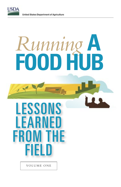

# *Running* **A FOOD HUB**  $\sim$ LESSONS LEARNED **ROM THE** FIELD

VOLUME ONE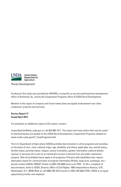

Rural Development

Funding for this study was provided by VAFAIRS, a nonprofit co-op and small business development office in Richmond, Va., and by the Cooperative Programs office of USDA Rural Development.

Mention in this report of company and brand names does not signify endorsement over other companies' products and services.

#### **Service Report 77 Issued April 2015**

For questions or additional copies of this report, contact:

James.Barham@wdc.usda.gov or call 202-690-1411. This report and many others that may be useful to food businesses are posted on the USDA Rural Development, Cooperative Programs website at: www.rurdev.usda.gov/LP\_CoopPrograms.html

The U.S. Department of Agriculture (USDA) prohibits discrimination in all its programs and activities on the basis of race, color, national origin, age, disability, and where applicable, sex, marital status, familial status, parental status, religion, sexual orientation, genetic information, political beliefs, reprisal, or because all or part of an individual's income is derived from any public assistance program. (Not all prohibited bases apply to all programs.) Persons with disabilities who require alternative means for communication of program information (Braille, large print, audiotape, etc.) should contact USDA's TARGET Center at (202) 720-2600 (voice and TDD). To file a complaint of discrimination, write to USDA, Director, Office of Civil Rights, 1400 Independence Avenue, S.W., Washington, D.C. 20250-9410, or call (800) 795-3272 (voice) or (202) 720-6382 (TDD). USDA is an equal opportunity provider and employer.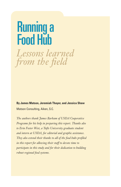## Running a Food Hub

*Lessons learned from the field* 

**By James Matson, Jeremiah Thayer, and Jessica Shaw** Matson Consulting, Aiken, S.C.

*The authors thank James Barham of USDA Cooperative Programs for his help in preparing this report. Thanks also to Erin Foster West, a Tufts University graduate student and intern at USDA, for editorial and graphic assistance. They also extend their thanks to all of the food hubs profiled in this report for allowing their staff to devote time to participate in this study and for their dedication to building robust regional food systems.*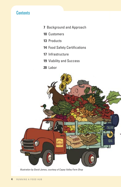#### **Contents**

- Background and Approach
- Customers
- Products
- Food Safety Certifications
- Infrastructure
- Viability and Success
- Labor



Illustration by David James, courtesy of Capay Valley Farm Shop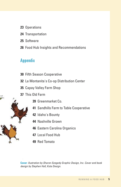- Operations
- Transportation
- Software
- Food Hub Insights and Recommendations

#### Appendix

- Fifth Season Cooperative
- La Montanita's Co-op Distribution Center
- Capay Valley Farm Shop
- This Old Farm
	- Greenmarket Co.
	- Sandhills Farm to Table Cooperative
	- Idaho's Bounty
	- Nashville Grown
	- Eastern Carolina Organics
	- Local Food Hub
	- Red Tomato

**Cover:** Ilustration by Sharon Szegedy Graphic Design, Inc. Cover and book design by Stephen Hall, Kota Design.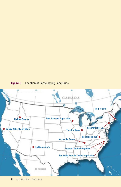

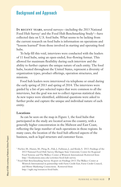#### Background and Approach

**IN RECENT YEARS**, several surveys—including the 2013 National Food Hub Survey<sup>1</sup> and the Food Hub Benchmarking Study<sup>2</sup>—have collected data on U.S. food hubs. What seems to be lacking from the current research on food hubs is information on operations and "lessons learned" from those involved in starting and operating food hubs.

 To help fill this void, interviews were conducted with the leaders of 11 food hubs, using an open-ended, free-flowing format. This allowed for maximum flexibility during each interview and the ability to further capture the unique nature of each entity. The food hubs, located throughout the United States, represent a diversity of organization types, product offerings, operation structures, and missions.

 Food hub leaders were interviewed via telephone or email during the early spring of 2013 and spring of 2014. The interviews were guided by a list of pre-selected topics that were common to all the interviews, but the goal was not to collect rigorous statistical data. As new topics were identified, additional questions were asked to further probe and capture the unique and individual nature of each entity.

#### **Locations**

 As can be seen on the map in Figure 1, the food hubs that participated in the study are located across the country, with a generally higher concentration in the Midwest and East Coast, reflecting the large number of such operations in those regions. In many cases, the location of the food hub affected aspects of the business, such as legal structure and customer focus.

<sup>2</sup> Food Hub Benchmarking Survey: Report on Findings 2013. The Wallace Center at Winrock International in partnership with Farm Credit East, Farm Credit Council, and Morse Marketing Connections. Retrieved from http://ngfn.org/resources/food-hubs.

<sup>1</sup> Fischer, M., Hamm, M., Pirog, R., Fisk, J., Farbman, J., and Kiraly, S. 2013. Findings of the 2013 National Food Hub Survey. Michigan State University Center for Regional Food Systems and The Wallace Center at Winrock International. Retrieved from http://foodsystems.msu.edu/activities/food-hub-survey.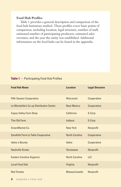#### **Food Hub Profiles**

 Table 1 provides a general description and comparison of the food hub businesses studied. These profiles cover basic points of comparison, including location, legal structure, number of staff, estimated number of participating producers, estimated sales revenues, and the year the entity was established. Additional information on the food hubs can be found in the appendix.

#### **Table 1** — Participating Food Hub Profiles

| <b>Food Hub Name</b>                       | <b>Location</b>       | <b>Legal Structure</b> |
|--------------------------------------------|-----------------------|------------------------|
| <b>Fifth Season Cooperative</b>            | Wisconsin             | Cooperative            |
| La Montañita's Co-op Distribution Center   | <b>New Mexico</b>     | Cooperative            |
| <b>Capay Valley Farm Shop</b>              | California            | S-Corp                 |
| This Old Farm                              | Indiana               | S-Corp                 |
| GreenMarket Co.                            | New York              | Nonprofit              |
| <b>Sandhills Farm to Table Cooperative</b> | North Carolina        | Cooperative            |
| <b>Idaho's Bounty</b>                      | Idaho                 | Cooperative            |
| Nashville Grown                            | <b>Tennessee</b>      | Nonprofit              |
| <b>Eastern Carolina Organics</b>           | <b>North Carolina</b> | <b>LLC</b>             |
| Local Food Hub                             | Virginia              | Nonprofit              |
| <b>Red Tomato</b>                          | <b>Massachusetts</b>  | <b>Nonprofit</b>       |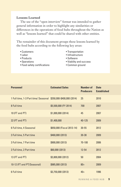#### **Lessons Learned**

 The use of the "open interview" format was intended to gather general information in order to highlight any similarities or differences in the operations of food hubs throughout the Nation as well as "lessons learned" that could be shared with other entities.

The remainder of this document groups these lessons learned by the food hubs according to the following key areas:

- Customers
- Labor
- Products
- Operations
- Food safety certifications
- Transportation
- Infrastructure
- Software
- Viability and success
- Common ground

| <b>Personnel</b>                                                | <b>Estimated Sales</b>     | Number of<br><b>Producers</b> | <b>Date</b><br><b>Established</b> |
|-----------------------------------------------------------------|----------------------------|-------------------------------|-----------------------------------|
| 1 Full time, 1-3 Part time/ Seasonal \$350,000-\$400,000 (2014) |                            | 25                            | 2010                              |
| 8 Full time                                                     | \$5,500,000 (FY 2014)      | 700                           | 2007                              |
| 10 (FT and PT)                                                  | \$1,000,000 (2014)         | 45                            | 2007                              |
| 22 (FT and PT)                                                  | \$1,400,000                | 40-125                        | 2009                              |
| 6 Full time, 4 Seasonal                                         | \$650,000 (Fiscal 2013-14) | $30 - 55$                     | 2012                              |
| 3 Full time, 5 Part time                                        | \$460,000 (2013)           | 30-38                         | 2009                              |
| 3 Full time, 7 Part time                                        | \$900,000 (2013)           | 70-100                        | 2006                              |
| 2 Full time, 2 Part time                                        | \$60,000 (2013)            | $12 - 54$                     | 2012                              |
| 13 (FT and PT)                                                  | \$3,800,000 (2012)         | 50                            | 2004                              |
| 10-12 (FT and PT/Seasonal)                                      | \$985,000 (2013)           | $80 +$                        | 2009                              |
| 6 Full time                                                     | \$3,750,000 (2013)         | $40+$                         | 1996                              |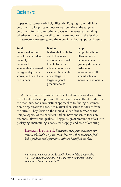#### **Customers**

Types of customer varied significantly. Ranging from individual customers to large-scale foodservice operations, the targeted customer often dictates other aspects of the venture, including whether or not safety certifications were important, the level of infrastructure necessary, and the type of marketing approach used.

#### **Small**

#### **Medium**

Some smaller food hubs focus on selling primarily to restaurants, independently owned or regional grocery stores, and directly to consumers.

Mid-scale food hubs sell to the same customers as small food hubs, but also add institutions such as schools, hospitals and colleges, or larger regional grocery chains.

#### **Large**

Larger food hubs often focus on national chain grocery stores and distribution warehouses with limited sales to individual customers.

 While all share a desire to increase local and regional access to fresh local foods and promote the success of agricultural producers, the food hubs took two distinct approaches to finding customers. Some organizations choose to market themselves as "direct from the farm." They focus on the individuality of the farmer or the unique aspects of the products. Others have chosen to focus on freshness, flavor, and quality. They put a great amount of effort into packaging, maintaining a consistent supply, and ease of ordering.

Lesson Learned: *Determine who your customers are (retail, wholesale, organic, grass-fed, etc.), then tailor the food hub's products and approach to suit the identified market.*

A producer-member of the Sandhills Farm to Table Cooperative (SFTC), in Whispering Pines, N.C., delivers a 'thank you' along with food. Photo courtesy SFTC.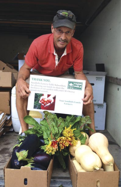## THANK YOU,

Sandhills Farm to Table Subscribers<br>for allowing our family to shown free for allowing our formily to shorriber<br>freshness of our family to share the freshness of our family to share the **TNE**<br>tradings of our garden with yours! It's beyon



 $\begin{split} \text{Trur Smithilb} \; &\text{Family} \; \text{Family} \\ &\text{Farmory} \end{split}$ 

RUNNING A FOOD HUB **11**

٠

PRODUCE

**WATER** 

grap :

m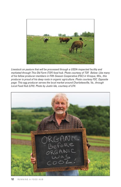

Livestock on pasture that will be processed through a USDA-inspected facility and marketed through This Old Farm (TOF) food hub. Photo courtesy of TOF. Below: Like many of his fellow producer-members in Fifth Season Cooperative (FSC) in Viroqua, Wis., this producer is proud of his deep roots in organic agriculture. Photo courtesy FSC. Opposite page: This egg producer serves the local market around Charlottesville, Va., through Local Food Hub (LFH). Photo by Justin Ide, courtesy of LFH.

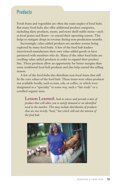#### **Products**

Fresh fruits and vegetables are often the main staples of food hubs. But many food hubs also offer additional product categories, including dairy products, meats, and more shelf-stable items—such as local grains and flours—to extend their operating season. This helps to mitigate drops in revenue during non-production months.

 Increasingly, value-added products are another avenue being explored by many food hubs. A few of the food hub leaders interviewed manufacture their own value-added goods or have partnered with members who do. Many of the other food hubs are reselling value-added products in order to expand their product line. These products allow an opportunity for better margins than some traditional food hub products and also help extend the selling season.

 A few of the food hubs also distribute non-local items that still fit the core values of the food hub. These items were often products not available locally, such as nuts, oils, or coffee, or which were designated as a "specialty" in some way, such a "fair trade" or a certified organic item.

Lesson Learned: *Seek to source and provide a mix of product that will allow you to satisfy demand or an identified need in the market. This may include distribution of products that are not strictly "local," but which still suit the mission of the food hub.*

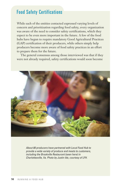### Food Safety Certifications

While each of the entities contacted expressed varying levels of concern and prioritization regarding food safety, every organization was aware of the need to consider safety certifications, which they expect to be even more important in the future. A few of the food hubs have begun to require mandatory Good Agricultural Practices (GAP) certification of their producers, while others simply help producers become more aware of food safety practices in an effort to prepare them for the future.

 The general consensus among those interviewed was that if they were not already required, safety certifications would soon become



About 80 producers have partnered with Local Food Hub to provide a wide variety of produce and meats to customers, including the Brookville Restaurant (seen here) in Charlottesville, Va. Photo by Justin Ide, courtesy of LFH.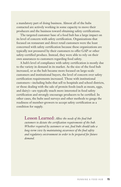a mandatory part of doing business. Almost all of the hubs contacted are actively working in some capacity to move their producers and the business toward obtaining safety certifications.

 The targeted customer base of a food hub has a large impact on its level of concern with safety certification. Organizations that focused on restaurant and direct retail customers were the least concerned with safety certification because these organizations are typically not pressured by their customers to offer GAP or other safety-certified produce. Instead, they were able to rely on their own assurances to customers regarding food safety.

 A hub's level of compliance with safety certification is mostly due to the variety in demand in its market. As the size of the food hub increased, or as the hub became more focused on large-scale customers and institutional buyers, the level of concern over safety certification requirements increased. Those with institutional customers—including hubs that sell to hospitals and school districts, or those dealing with the sale of protein foods (such as meats, eggs, and dairy)—are typically much more interested in food safety certification and strongly encourage producers to be certified. In other cases, the hubs used surveys and other methods to gauge the readiness of member-growers to accept safety certification as a condition for supply.

Lesson Learned: *Allow the needs of the food hub customers to dictate the certification requirements of the hub. Whether required by customers or not, food hubs should take a long-term view by maintaining awareness of the food safety and regulatory environment in order to be prepared for future demand.*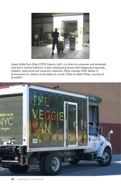

Capay Valley Farm Shop (CVFS), Esparto, Calif., is a direct-to-consumer and wholesale food hub in Central California. It does wholesale business with independent specialty retailers, restaurants and corporate cafeterias. Photo courtesy CVFS. Below: A Greenmarket Co. delivery truck makes its rounds. Photo by Vitaliy Piltser, courtesy of GrowNYC.

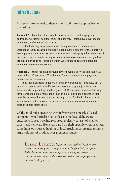#### **Infrastructure**

Infrastructure seemed to depend on two different approaches to operations:

**Approach 1**—Food hubs that provide more services—such as physical aggregation, grading, packing, sales, and delivery—often have a warehouse, equipment, and other infrastructure.

 Food hubs taking this approach use the equivalent of a medium-sized warehouse (5,000-10,000 sq. ft.) that included sufficient room for truck parking, loading, product storage, dry goods storage, and cooling capacity. When one of these food hubs expands or begins to offer other services—such as light food processing or freezing—supplementary warehouse space and additional equipment are often necessary.

**Approach 2**—Other food hubs provide fewer physical services and thus have more limited infrastructure. They instead focus on coordination, payment, marketing, and promotion.

 These food hubs tend to use much smaller warehouses (1,000-4,000 sq. ft.), or a mix of owned and rented/borrowed warehouse space (the latter can sometimes be supplied by food hub growers). While some hubs maintain longterm storage facilities, many use a "just-in-time" distribution approach that minimizes the need for storage and cooling space. Food hubs that use larger spaces often rent or lease excess space to producers or other entities for storage to help offset costs.

Of the food hubs operating with infrastructure, nearly all used company-owned trucks to do at least some local delivery to customers. Local trucking resources typically consist of smaller short-haul vehicles. However, based on their specific circumstances, some hubs outsourced hauling to local trucking companies to move large volumes of product over greater distances.

Lesson Learned: *Infrastructure will be based on the product handling and storage needs of the food hub, but food hubs should incorporate a long-term view of infrastructure and equipment to provide easier transitions through growth periods in the future.*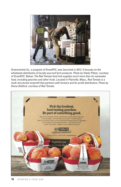

Greenmarket Co., a program of GrowNYC, was launched in 2012. It focuses on the wholesale distribution of locally sourced farm products. Photo by Vitaliy Piltser, courtesy of GrowNYC. Below: The Red Tomato food hub supplies much more than its namesake food, including peaches and other fruits. Located in Plainville, Mass., Red Tomato is a multi-structured nonprofit that partners with farmers and for-profit distributors. Photo by Diane Stalford, courtesy of Red Tomato.

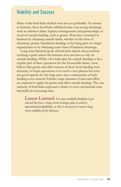#### Viability and Success

Many of the food hubs studied were not yet profitable. To remain in business, these food hubs exhibited some cost-saving advantage, such as volunteer labor, logistics arrangements and partnerships, or received outside funding, such as grants. Most have remained in business by obtaining outside funds, whether in the form of donations, grants, foundation funding, or by being part of a larger organization or by obtaining some form of business advantage.

 Long-term financial goals of food hubs almost always include reaching a point where the business does not have to rely on outside funding. While a few hubs plan for outside funding to be a regular part of their operations for the foreseeable future, most believe that grants and other sources of short-term funding were necessary to begin operations or to reach a new plateau but were not good options for the long term, since continuation of such funding is not assured. Further, large amounts of time and effort are required to apply for grants and other outside funding. The vast majority of food hubs expressed a desire to cover operational costs internally by increasing sales.

Lesson Learned: *Use any available funding to get started but have a long-term strategic plan to achieve operational profitability, as this is necessary to ensure longterm viability of the business.*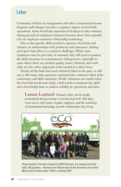#### **Lahor**

Continuity of labor in management and sales is important because frequent staff changes can have a negative impact on food hub operations. Some food hubs experienced declines in sales volumes during periods of employee transition because these hubs typically rely on employee-customer relationship marketing.

 Due to the specific skills needed to operate a food hub and reliance on relationships with producers and customers, finding good part-time labor is a common challenge. While some employees may be part time or seasonal, they still need to possess the skills necessary to communicate with growers, especially in cases where there are product quality issues. Honesty and work ethic are two other important traits needed in a labor force.

 Nearly all the hubs had used volunteer labor in the past, or still use it. But many hub operators cautioned that volunteer labor lacks consistency and skill continuity. While volunteers are useful when the food hub needs more help, a hub needs to maintain key skills and a knowledge base to achieve stability in operations and sales.

Lesson Learned: *Volunteer labor can be useful, particularly during startup or periods of growth. But longterm success will require regular employees and the continuity of institutional knowledge and the relationships they bring.*



These Eastern Carolina Organics (ECO) farmers are among the food hubs' 50 growers. Farmers own 40 percent of the business and retain 80 percent of total sales. Photo courtesy ECO.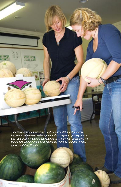Idaho's Bounty is a food hub in south-central Idaho that primarily focuses on wholesale marketing to local and regional grocery chains and restaurants. It also makes retail sales to individual consumers via the co-op's website and pickup locations. Photo by Paulette Phlipot, courtesy Idaho's Bounty.

 $1.44A$ 

RUNNING A FOOD HUB **21**

Ŵ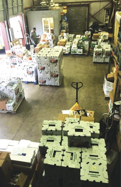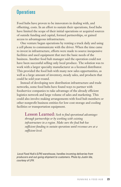#### **Operations**

Food hubs have proven to be innovators in dealing with, and offsetting, costs. In an effort to sustain their operations, food hubs have limited the scope of their initial operations or acquired sources of outside funding and capital, formed partnerships, or gained access to advantageous infrastructure.

 One venture began operations by renting a truck daily and using a cell phone to communicate with the driver. When the time came to invest in infrastructure, efforts were made to source inexpensive facilities and used equipment that met the basic needs of the business. Another food hub manager said the operation could not have been successful selling only local produce. The solution was to work with a larger specialty manufacturer as a licensed distributor. This provided the food hub with many new sales opportunities, as well as a large amount of inventory, steady sales, and products that could be sold year-round.

 Instead of developing new distribution infrastructure and trade networks, some food hubs have found ways to partner with foodservice companies to take advantage of the already efficient logistics network and large volume of sales and marketing. This could also involve making arrangements with food hub members or other nonprofit business entities for low-cost storage and cooling facilities or transportation equipment.

Lesson Learned: *Seek to find operational advantages through partnerships or by working with existing infrastructure in a region. Make sure the food hub has sufficient funding to sustain operations until revenues are at a sufficient level.*

Local Food Hub's (LFH) warehouse, handles incoming deliveries from producers and out-going shipment to customers. Photo by Justin Ide, courtesy of LFH.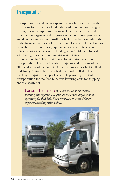#### **Transportation**

Transportation and delivery expenses were often identified as the main costs for operating a food hub. In addition to purchasing or leasing trucks, transportation costs include paying drivers and the time spent in organizing the logistics of pick-ups from producers and deliveries to customers—all of which contributes significantly to the financial overhead of the food hub. Even food hubs that have been able to acquire trucks, equipment, or other infrastructure items through grants or other funding sources still have to deal with the significant cost of ongoing maintenance.

 Some food hubs have found ways to minimize the cost of transportation. Use of out-sourced shipping and trucking often alleviated some of the burden of maintaining a consistent method of delivery. Many hubs established relationships that help a trucking company fill empty loads while providing efficient transportation for the food hub, thus lowering costs for shipping and transportation.

Lesson Learned: *Whether leased or purchased, trucking and logistics will often be one of the largest costs of operating the food hub. Know your costs to avoid delivery expenses exceeding order values.*

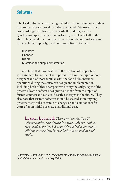## **Software**

The food hubs use a broad range of information technology in their operations. Software used by hubs may include Microsoft Excel, custom-designed software, off-the-shelf products, such as Quickbooks, specialty food hub software, or a blend of all of the above. In general, there is little consensus on the optimal software for food hubs. Typically, food hubs use software to track:

- Inventory
- Finances
- Orders
- Customer and supplier information

 Food hubs that have dealt with the creation of proprietary software have found that it is important to have the input of both designers and of those familiar with the food hub's intended operations during the software's design and implementation. Including both of these perspectives during the early stages of the process allows a software designer to benefit from the input of farmer contacts and can avoid costly redesigns in the future. They also note that custom software should be viewed as an ongoing process; many hubs continue to change or add components for years after an initial purchase at additional cost.

Lesson Learned: *There is no "one size fits all" software solution. Conscientiously choosing software to suit as many needs of the food hub as possible will lead to the greatest efficiency in operations, but will likely still not produce ideal results.*

Capay Valley Farm Shop (CVFS) trucks deliver to the food hub's customers in Central California. Photo courtesy CVFS.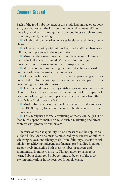#### Common Ground

Each of the food hubs included in this study had unique operations and goals that reflect the local community environment. While there is great diversity among them, the food hubs also share some common ground, including:

 $\blacksquare$  All felt their own market and sales levels were still in a growth phase.

 $\blacksquare$  All were operating with minimal staff. All staff members were fulfilling multiple roles in the organization.

 $\blacksquare$  Most had their own transportation infrastructure. However, their vehicle fleets were limited. Many used local or regional transportation firms to augment their transportation capacity.

**n Many were interested in aggregating and selling value-added** products, often as a season-extending service.

n Only a few hubs were directly engaged in processing activities. Some of the hubs that attempted these activities in the past are now outsourcing them to other firms.

 $\blacksquare$  The time and costs of safety certifications and insurances were of concern to all. They expressed keen awareness of the impacts of new food-safety regulations, especially those stemming from the Food Safety Modernization Act.

**n** Most hubs had access to a small- or medium-sized warehouse (1,000-10,000 sq. ft.) for storage, as well as holding coolers or their equivalents.

 $\blacksquare$  They rarely used formal advertising or media campaigns. The food hubs depended mainly on relationship marketing and direct contacts with producers and buyers.

 Because of their adaptability, no one measure can be applied to all food hubs. Each one must be measured by its success or failure in achieving its own underlying goals. From fulfilling a specific social mission to achieving independent financial profitability, food hubs are positively impacting both their member-producers and communities in numerous ways. Though much remains to be learned about them, food hubs continue to be one of the most exciting innovations in the local foods supply chain.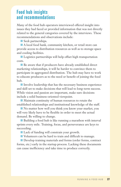#### Food hub insights and recommendations

Many of the food hub operators interviewed offered insight into issues they had faced or provided information that was not directly related to the general categories covered by the interviews. These recommendations and observations include:

 $\blacksquare$  Seek partnerships.

■ A local food bank, community kitchen, or retail store can provide access to distribution resources as well as to storage space and cooling facilities.

**n** Logistics partnerships will help offset high transportation costs.

 $\blacksquare$  Be aware that if producers have already established direct marketing relationships, it will be harder to convince them to participate in aggregated distribution. The hub may have to work to educate producers as to the need or benefit of joining the food hub.

■ Involve leadership that has the necessary business experience and skill set to make decisions that will lead to long-term success. While vision and passion are important, make sure decisions include a solid business-oriented viewpoint.

 $\blacksquare$  Maintain continuity of human resources to retain the established relationships and institutional knowledge of the staff.

 $\blacksquare$  No matter how well you think you know your market, you will very likely have to be flexible in order to meet the actual demand. Be willing to change.

■ Building a food hub is like running a marathon with interval sprints every mile. Training, focus, and perseverance are keys to succeeding.

■ Lack of funding will constrain your growth.

n Volunteers can be hard to train and difficult to manage.

**n** Develop training materials and forms (order forms, contract forms, etc.) early in the startup process. Lacking these documents can cause inefficiency and take time to produce correctly.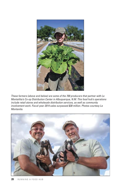

These farmers (above and below) are some of the 700 producers that partner with La Montañita's Co-op Distribution Center in Albuquerque, N.M. This food hub's operations include retail stores and wholesale distribution services, as well as community involvement work. Fiscal-year 2014 sales surpassed \$30 million. Photos courtesy La Montanita.

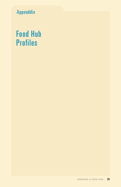Appenddix

## Food Hub **Profiles**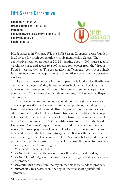## Fifth Season Cooperative

**Location:** Viroqua, WI **Organization:** For Profit Co-op **Personnel:** 4 **Est. Sales:** \$350-400,000 (Projected 2014) **Est. Producers:** 25 **Established:** 2010



Headquartered in Viroqua, WI, the Fifth Season Cooperative was founded in 2010 as a for-profit cooperative with six membership classes. The cooperative began operations in 2011 by renting about 4,000-square-feet of warehouse space and access to a 600-square-foot cooler from the Viroqua Food Enterprise Center. The cooperative's staff currently consists of a single full-time operations manager, one part-time office worker, and two seasonal workers.

 The primary customer base for the cooperative is foodservice distributors and industrial buyers. Voting buyer-members include two hospitals, one university, and three school districts. The co-op also serves a large buyer pool of over 100 accounts that include restaurants, K-12 schools, colleges, and hospitals.

 Fifth Season focuses on moving regional foods to regional customers. The co-op provides a well-rounded line of 140 products, including dairy, frozen and value-added meats, shelf-stable products, refrigerated valueadded products, and a full line of frozen fruits and vegetables. The co-op helps extend the season by offering a line of frozen, value-added vegetable blends "with a regional flair." While Fifth Season uses space at the Food Enterprise Center in Viroqua for its offices and gathering point during the season, the co-op plays the role of a broker for the frozen and refrigerated meat and dairy products to avoid storage costs. It also sells its own processed and frozen vegetable blends under the Fifth Season Label sourced from its producer and producer group members. This allows the co-op to move food efficiently across a 150-mile region.

Membership classes include:

- *Producers:* Growers in the region who sell produce, meat, or dairy;
- *Producer Groups:* Agricultural businesses in the region that aggregate and sell produce;
- *Processors:* Businesses from the region that make value-added products;
- *Distributors:* Businesses from the region that transport agricultural products;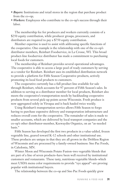- *Buyers:* Institutions and retail stores in the region that purchase product from the co-op;
- *Workers:* Employees who contribute to the co-op's success through their labor.

 The membership fee for producers and workers currently consists of a \$250 equity contribution, while producer groups, processors, and distributors are required to pay a \$750 equity contribution.

 Member expertise is used to assist with addressing specific functions of the cooperative. One example is the relationship with one of the co-op's distributor members, Reinhart Foodservice, in La Crosse, WI. This broad product-line foodservice distributor has made a commitment to purchasing local foods for customers.

 The membership of Reinhart provides several operational advantages. The cooperative is able to access a large pool of ready customers by serving as a vendor for Reinhart. Reinhart uses its established distribution network to provide a platform for Fifth Season Cooperative products, actively promoting its local food products to customers.

 The cooperative currently has a full product line available for sale through Reinhart, which accounts for 97 percent of Fifth Season's sales. In addition to serving as a distributor member for local products, Reinhart also meets the cooperative's transportation needs by backhauling cooperative products from several pick-up points across Wisconsin. Fresh produce is now aggregated solely in Viroqua and is back hauled twice weekly.

 Using Reinhart's transportation service allows Fifth Season to forgo having to purchase expensive delivery and transportation infrastructure and reduces overall costs for the cooperative. The remainder of sales is made to smaller accounts, which are delivered by local transport companies and the co-op's other distributor-member, Keewaydin Organics, on an "as-needed basis."

 Fifth Season has developed the first two products in a value-added, frozen vegetable line, geared toward K-12 schools and other institutional use. These products are unique in that they are all grown in the Driftless Region of Wisconsin and are processed by a family-owned business: Sno Pac Foods, in Caledonia, MN.

 Winter Moon and Wisconsin Potato Fusion–two vegetable blends that are part of a line of seven products–have been well received by institutional customers and restaurants. These tasty, nutritious vegetable blends–which meet USDA menu color requirements to provide "eye appeal"–are proving popular with institutional buyers.

The relationship between the co-op and Sno Pac Foods quickly grew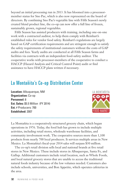beyond an initial processing run in 2013. It has bloomed into a processormember status for Sno Pac, which is also now represented on the board of directors. By combining Sno Pac's vegetable line with Fifth Season's newly created blend product line, the co-op can now offer a full line of frozen, sustainably grown, regional vegetables.

 Fifth Season has assisted producers with training, including one-on-one work with a contracted auditor, to help them comply with Reinhart's established rules for vendor food safety. Reinhart's regulations are largely based on GAP certification requirements and are stringent enough to satisfy the safety requirements of institutional customers without the costs of GAP audits and fees. Yearly audits are conducted at all Fifth Season farms and facilities via contracts with an independent food-safety auditor. The cooperative works with processor-members of the cooperative to conduct a HACCP (Hazard Analysis and Critical Control Point) audit or find assistance to have HACCP plans written if necessary.

#### La Montañita's Co-op Distribution Center

**Location:** Albuquerque, NM **Organization:** Co-op **Personnel:** 8 **Est. Sales:** \$5.5 Million (FY 2014) **Est.** # Producers: 700 **Established:** 2007



La Montañita is a cooperatively structured grocery chain, which began operations in 1976. Today, the food hub has grown to include multiple activities, including retail stores, wholesale warehouse facilities, and community involvement work. The cooperative sources more than 1,100 products from nearly 700 local producers. It services multiple areas in New Mexico. La Montañita's fiscal-year 2014 sales will surpass \$30 million.

 The co-op's retail division sells local and national brands at five retail stores in New Mexico. These include stores in Albuquerque, Santa Fe, and Gallup. Additional customers include retail location, such as Whole Foods, and local natural grocery stores that are unable to access the traditional natural foods industry because of the low volumes needed. Customers also include schools, universities, and Bon Appetite, which operates cafeterias in the area.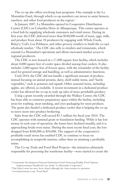The co-op also offers revolving loan programs. One example is the La Montañita Fund, through which co-op members can invest to assist farmers, ranchers, and other food producers in the region.<sup>3</sup>

 In January 2007, La Montañita opened its Cooperative Distribution Center (CDC) on Columbia Drive in Albuquerque. This center operates as a food hub by supplying wholesale customers and retail stores. During its first year, the CDC delivered more than \$100,000 worth of meat, eggs, milk, and produce from about 30 producers by engaging with Whole Foods, Raley's,4 Cid's, Los Poblanos, and other grocery retailers to build the co-op's wholesale market.<sup>5</sup> The CDC also sells to retailers and restaurants, which extends La Montañita's operations and allows increased market access to regional producers.

 The CDC is now housed in a 17,000-square-foot facility, which includes about 4,000 square feet of cooler space divided among four coolers. It also includes 1,000 square feet of freezer space, with the remainder of the facility used for general storage and handling, as well as administrative functions.

 Until 2014, the CDC did not handle a significant amount of produce, instead focusing on animal protein, dairy, shelf-stable items, and "hardy vegetables," such as potatoes and squash. Other seasonal items, including apples, are offered, as available. A recent investment in a dedicated produce cooler has allowed the co-op to scale up sales of more perishable produce.

 Using a grant recently awarded through the Wallace Center, the CDC has been able to construct preparatory space within the facility, including areas for washing, meat smoking, and cryo-packaging for meat products. The grant also funded a dedicated produce cooler that is helping the co-op to move more into produce brokering.

 Sales from the CDC will exceed \$5.5 million for fiscal year 2014. The CDC operates with minimal grant or foundation funding. While it has lost money in each year of operation, the losses have declined steadily, and it is approaching break-even status. During the most recent fiscal year, the loss dropped from \$100,000 to \$50,000. The support of the cooperative's profitable retail stores has enabled CDC to continue to focus on accomplishing its nonprofit mission, rather than on attaining a profitable status.

 The Co-op Trade and Food Shed Projects—the initiatives ultimately responsible for procuring the warehouse facility—were started to create the

<sup>&</sup>lt;sup>3</sup> Community Development Financial Institutions Fund. Financing Healthy Food Options: Implementation Handbook Case Study. "La Montañita Cooperative" 4This Raley's store has since been closed, although the chain remains in operation.

<sup>5</sup> www.lamontanita.coop: "Food Shed"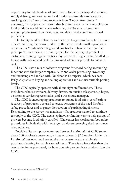opportunity for wholesale marketing and to facilitate pick-up, distribution, supply delivery, and storage for local producers through warehouse and trucking services.6 According to an article in "Cooperative Grocer" magazine, the cooperative realized that breaking even by focusing solely on local products would not be attainable. So, in 2007 it began sourcing selected products–such as meat, eggs, and dairy products–from national producers.

 The facility handles deliveries and pickups. Larger producers find it more efficient to bring their own product to the center, while smaller producers often use La Montañita's refrigerated box trucks to handle their product pick-ups. These trucks are primarily used for the delivery of product to customers, running regular routes 5 days per week. Logistics are handled inhouse, with pick-up and back-hauling used whenever possible to mitigate costs.

 The CDC uses a mix of software programs for coordinating accounting functions with the larger company. Sales and order processing, inventory, and invoicing are handled with Quickbooks Enterprise, which has been fairly adaptable to buying and selling operations and can use variable pricing levels.

 The CDC typically operates with about eight staff members. These include warehouse workers, delivery drivers, an outside salesperson, a buyer, a customer service representative, and a warehouse manager.

 The CDC is encouraging producers to pursue food safety certifications. A survey of producers was used to create awareness of the need for food safety procedures and to gauge the reaction of participating farmers. Responding to the survey was mandatory if a producer wanted to continue to supply to the CDC. The next step involves finding ways to help groups of growers become food safety certified. The center has worked on food safety procedures individually with the larger producers, stressing the importance of compliance.

 Outside of its own proprietary retail stores, La Montañita's CDC serves about 100 wholesale customers, with sales of nearly \$2.6 million. Other than La Montañita's own retail stores, the main customers are wholesale purchasers looking for whole cases of items. There is no fee, other than the cost of the items purchased, for buyers looking to purchase product from the CDC.

<sup>6</sup> www.lamontanita.coop: "About Us"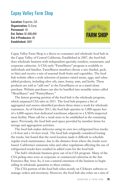## Capay Valley Farm Shop

**Location:** Esparto, CA **Organization:** S-Corp **Personnel:** 10 **Est. Sales:** \$1,000,000 **Est. # Producers:** 45 **Established:** 2007



Capay Valley Farm Shop is a direct-to-consumer and wholesale food hub in the Capay Valley of Central California. Established in 2007, the food hub does wholesale business with independent specialty retailers, restaurants, and corporate cafeterias. A CSA-style "FarmShares" program is available to individuals and families. FarmShares members choose a size (bushel, peck, or bite) and receive a mix of seasonal fresh fruits and vegetables. The food hub website offers a wide selection of pasture-raised meats, eggs, and valueadded products, including olive oils, jams, honey, nuts, and herbs. These products are sold as "add-ons" to the FarmShares or as a stand-alone purchase. Website purchases can also be bundled into monthly mixes called "MeatShares" and "PantryShares."

 The fastest growing portion of the food hub is the wholesale program, which surpassed CSA sales in 2013. The food hub prepares a list of aggregated and source-identified products three times a week for wholesale customers. As of October 2013, the food hub operates in 3,000 square feet of a 4,000-square-foot dedicated warehouse adjacent to a USDA-inspected meat facility. Plans call for a retail store to be established in the remaining space. Previously, the food hub used space provided by member farms for storage and aggregation activities.

 The food hub makes deliveries using its own two refrigerated box trucks: a 14-foot and a 16-foot truck. The food hub originally considered leasing the trucks, but found that the rural location made it difficult to schedule regular truck maintenance, due to the distance from where the trucks were leased. California's emissions rules and other regulations affecting the use of refrigerated trucks have resulted in added costs for the food hub.

 The hub's wholesale business grew out of its CSA program. Many of the CSA pickup sites were at corporate or commercial cafeterias in the San Francisco Bay Area. So, it was a natural extension of the business to begin selling in wholesale quantities to these entities.

 The CSA portion of the food hub relies mostly on CSAware software to manage orders and inventory. However, the food hub also relies on a mix of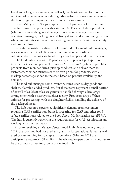Excel and Google documents, as well as Quickbooks online, for internal tracking. Management is considering other software options to determine the best program to upgrade the current software system.

 Capay Valley Farm Shop's employees are all paid staff of the food hub. The hub currently operates with a staff of 10. These include: a president (who functions as the general manager), operations manager, assistant operations manager, packing crew, delivery driver, and a purchasing manager who communicates and coordinates with growers to determine availability and product flow.

 Sales staff consists of a director of business development, sales manager, sales associate, and marketing and communications coordinator. Administrative functions are handled by a bookkeeper and office manager.

 The food hub works with 45 producers, with product pickup from member farms 5 days per week. It uses a "just-in-time" system to purchase products from member farms, pick up products, and deliver them to customers. Member-farmers set their own prices for products, with a markup percentage added to the cost, based on product availability and demand.

 The food hub manages some inventory items, such as dry goods and shelf-stable value-added products. But these items represent a small portion of overall sales. Meat sales are generally handled through a brokerage arrangement with a nearby slaughter facility. Producers drop off their animals for processing, with the slaughter facility handling the delivery of the packaged meat.

 The hub does not experience significant demand from customers requiring GAP certification, but it is preparing for GAP and other food safety certifications related to the Food Safety Modernization Act (FSMA). The hub is currently reviewing the requirements for GAP certification and working with member farms.

 Prior to receiving a Wallace Center Food Hub Development grant in 2014, the food hub had not used any grants in its operations. It has instead used private funding for startup and operations. Sales for 2014 are anticipated to approach \$1 million. The wholesale operation will continue to be the primary driver for growth of the food hub.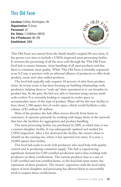## This Old Farm

**Location:** Colfax, Darlington, IN **Organization:** S-Corp **Personnel:** 22 **Est. Sales:** 1.4 Million (2013) **Est. # Producers:** 40-125 **Established:** 2009



This Old Farm was started from the Smith family's original 88-acre farm. It has grown over time to include a USDA-inspected meat processing facility. It oversees the processing of all the meat sold through the This Old Farm food hub to ensure humane, clean handling of all meat products and that there is consistent meat quality. While This Old Farm is formally organized as an S-Corp, it partners with an informal alliance of producers to offer fresh produce, meat, and value-added products.

 The food hub typically only acquires 10 percent of sales from produce items. In recent years, it has been focusing on building relationships with producers, helping them to "scale up" their operations so it can broaden its product line. In the past, the hub was able to function using various smallscale coolers. It is currently looking to expand its cooler space to accommodate more of this type of product. Plans call for this new facility to have about 2,500 square feet of cooler space, which would facilitate a sales volume of \$3 million–\$5 million.

 Most of the produce the hub offers moves directly from farms to customers. It operates primarily by working with larger farms in the network that have the facilities for aggregation and product handling.

 The meat processing facility was purchased in 2009, at which time it was a custom-slaughter facility. It was subsequently updated and readied for USDA inspection. After a fire destroyed the facility, the owners chose to rebuild on the existing site, where it has operated ever since. It is now a 10,000-square-foot facility.

 The food hub seeks to work with producers who need help with quality control and in producing consistent supply. The hub is experiencing significant demand for GAP-certified production and is thus working with producers on these certifications. The current producer base is a mix of GAP-certified and non-certified farms, so the food hub must ensure the separation of these products. The owners' experience with the food safety aspect of meat slaughter and processing has allowed them to successfully work to acquire these certifications.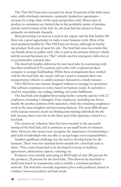The This Old Farm store accounts for about 10 percent of the hub's meat sales, while wholesale customers—primarily foodservice operations account for a large share of the meat and produce sold. Direct sales of produce to consumers are limited due to the perishable nature of produce and the rural location of the hub. So, the food hub has chosen to focus primarily on wholesale channels.

 Meat processing was seen as a need in the region, and the hub leaders felt there was a good opportunity to make a meat business work. Most of the meat products handled by This Old Farm are frozen, although its facility can produce fresh cuts of meat for sale. The food hub owns two trucks that can handle about six pallets each. One is used as the primary delivery vehicle and the second functions as a "flex" vehicle used for emergency deliveries or to accommodate seasonal sales.

 The food hub handles deliveries for non-local sales by contracting with less-than-truckload (LTL) carriers and works with a regional produce company to arrange backhauling. While these arrangements have worked well for the food hub, the owners still see a need to maintain their own transportation vehicles to satisfy customer demand in a timely manner.

 This Old Farm uses custom-designed software to manage its operations. The software continues to evolve, based on business needs. It currently is used for traceability, bar-coding, labeling, and order fulfillment.

 The food hub and slaughter/processing facility currently operate with 22 employees, including 5 managers. Four employees, including one driver, handle the produce portion of the operation, while the remaining employees work in the meat slaughter and processing business. The most difficult part of the human resource needs was finding and training individuals for the hub, because there were few in the labor pool with experience related to a food hub.

 The owners say volunteer labor has been essential to the successful startup of the food hub, and it continues to use small levels of volunteer labor. However, the owners now recognize the importance of maintaining a paid staff of individuals who are able to accept longer term responsibilities.

 Another significant challenge was the need to develop forms for the business. There were few standard forms suitable for a food hub such as theirs. Thus, many forms had to be developed in-house to facilitate agreements, information capture, ordering, etc.

 Producers were initially paid using an 80/20 split of sales (80 percent for the producer, 20 percent for the food hub). This allowed the food hub to build trust based on transparency and to solidify a consistent producer network. The food hub currently negotiates prices with producers, based on a balance between producer and hub needs.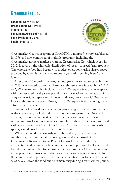#### Greenmarket Co.

**Location:** New York, NY **Organization:** Non-Profit Personnel: 10 **Est. Sales:** \$650,000 (FY 13-14) **Est. # Producers:** 30-55 **Established:** 2012



Greenmarket Co. is a program of GrowNYC, a nonprofit entity established in 1976 and now comprised of multiple programs, including the Greenmarket farmer's market program. Greenmarket Co., which began in 2012, focuses on the wholesale distribution of locally sourced farm products. The wholesale food hub began with modest operations, using shared space provided by City Harvest, a food rescue organization serving New York City.

 After about 16 months, the program outgrew the available space. In June of 2013, it relocated to another shared warehouse where it uses about 1,500 to 2,000 square feet. That included about 1,000 square feet of cooler space, with the rest used for dry storage and office space. Greenmarket Co. quickly outgrew its original space and, in its second year, moved to a 5,000-squarefoot warehouse in the South Bronx, with 3,000 square feet of cooling space, a freezer, and offices.7

 Greenmarket Co. does not offer any processing. It receives product that is already washed, packed, and ready to sell in case quantities. During the growing season, the hub makes deliveries to customers in two 16-foot refrigerated trucks and one auxiliary van. One of these trucks was purchased with a grant from the City of New York in 2013. In the winter and early spring, a single truck is needed to make deliveries.

 While the hub deals primarily in fresh produce, it is also seeing significant growth in the sale of local grain products. GrowNYC's Greenmarket Regional Grains Project has worked with producers, universities, and culinary partners in the region to promote local grains and to test different varieties to determine the best products. Greenmarket's role in the project is to investigate strategies for accessing regional markets for these grains and to promote their unique attributes to customers. The grain sales have allowed the food hub to remain busy during slower winter periods

<sup>&</sup>lt;sup>7</sup>The hub intends to utilize the extra space by renting to farmers for interim storage.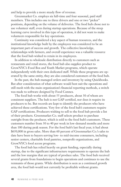and help to provide a more steady flow of revenue.

 Greenmarket Co. employs six full-time and four seasonal, paid staff members. This includes one to three drivers and one or two "picker" positions, depending on the volume of deliveries. The food hub chose not to use volunteer staff, even during startup operations. Because of the steep learning curve involved in this type of operation, it did not want to make volunteers responsible for key operations.

 Continuity was considered a key aspect of human resources, and the institutional knowledge built by the employees was considered to be an important part of success and growth. The collective knowledge, relationships with farmers, and overall experience was a valuable resource that the food hub wished to retain in its employees.

 In addition to wholesale distribution directly to customers such as restaurants and retail stores, the food hub also supplies product to GrowNYC's Food Box and Youth Market programs, which operate independently with their own dedicated staff. While these programs are operated by the same entity, they are also considered customers of the food hub.

 In the past, the hub managed orders and inventory by using Quickbooks. But after consideration of what software would best suit the operations and still mesh with the main organization's financial reporting methods, a switch was made to software designed by Food Connex.

 The food hub works with about 55 producers, about 30 of whom are consistent suppliers. The hub is not GAP certified, nor does it require its producers to be. But records are kept to identify the producers who have achieved these certifications. Very few of the food hub's customers require GAP certifications. Producers wishing to sell to the food hub provide a list of their products. Greenmarket Co. staff selects product to purchase outright from the producer, which is sold to the food hub's customers. These customers number from 30 to 40 per week in low-demand months and more than 100 during peak season. For the food hub's last fiscal year, it had about \$650,000 in gross sales. More than 60 percent of Greenmarket Co.'s sales to date have been to buyers serving low- to mid-income consumers, including senior centers, charitable food pantries, nonprofit organizations, and GrowNYC's food access programs.

 The food hub has relied heavily on grant funding, especially during startup, due to the significant infrastructure requirements to operate the hub and the low margins that are typical of produce sales. The food hub received several grants from foundations to begin operations and continues to use the remnants of those grants. While distribution is seen as a continued growth area, the food hub would not currently be profitable without grants.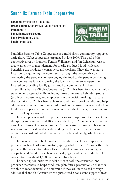## Sandhills Farm to Table Cooperative

**Location:** Whispering Pines, NC **Organization:** Cooperative (Multi-Stakeholder) **Personnel:** 8 **Est. Sales:** \$460,000 (2013) **Est. # Producers:** 30-38 **Established:** 2009



Sandhills Farm to Table Cooperative is a multi-farm, community supported agriculture (CSA) cooperative organized in late 2009. The goal of the cooperative, set by founders Fenton Wilkinson and Jan Leitschuh, was to create an entity to meet demand for locally produced food while also benefiting the producers, consumers, and workers. They also wanted to focus on strengthening the community through the cooperative by connecting the people who were buying the food to the people producing it. The cooperative is now exploring the idea of a commercial operation focused on providing locally grown food to commercial kitchens.

 Sandhills Farm to Table Cooperative (SF2T) has been formed as a multistakeholder cooperative. By including three different stakeholder groups (producers, consumers, and employees) in the decisionmaking structure of the operation, SF2T has been able to expand the scope of benefits and help address some issues present in a traditional cooperative. It is one of the first local food cooperatives in the country in which the farmers, consumers, and staff are all equal owners.

 The main products sold are produce-box subscriptions. For 18 weeks in the spring and summer, and 10 weeks in the fall, SF2T members can receive a weekly or bi-weekly box of produce. These feature a variety of between seven and nine local products, depending on the season. Two sizes are offered: standard, intended to serve two people, and family, which serves four.

 The co-op also sells bulk produce in standard case lots and specialty produce, such as heirloom tomatoes, spring salad mix, etc. Along with fresh produce, the cooperative also sells shelf-stable items, such as honey, jams, dry pasta, and bread. It also handles meats, eggs, and dairy products. The cooperative has about 1,400 consumer-subscribers.

 The subscription business model benefits both the consumer- and producer-members. It helps producers plan future production so that they are able to meet demand and determine if they will need to sell through additional channels. Consumers are guaranteed a consistent supply of fresh,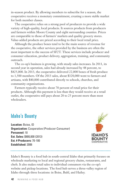in-season product. By allowing members to subscribe for a season, the cooperative receives a monetary commitment, creating a more stable market for both member classes.

 The cooperative relies on a strong pool of producers to provide a wide variety of high-quality, local products. It sources products from producers and farmers within Moore County and eight surrounding counties. Prices are comparable to those of farmers' markets and quality grocery stores. Value-added products are priced according to their local retail price.

 Although the produce boxes tend to be the main source of revenue for the cooperative, the other services provided by the business are often the most important to the success of SF2T. These services include producer and consumer education, product delivery, aggregation, training, and community outreach.

 The co-op's business is growing, with steady sales increases. In 2011, its second year in operation, sales had already increased by 48 percent, to \$425,000. In 2013, the cooperative delivered 22,000 boxes of fresh produce to 1,500 members. Of the 2013 sales, about \$320,000 went to farmers and artisans, with \$40,000 contributed directly to schools, churches, and community organizations.

 Farmers typically receive about 70 percent of retail price for their products. Although this payment is less than they would receive at a retail outlet, the cooperative still pays about 20 to 25 percent more than most wholesalers.

#### Idaho's Bounty

**Location:** Boise, ID **Organization:** Cooperative (Producer-Consumer) **Personnel:** 10 **Est. Sales:** \$900,000 (2013) **Est. # Producers:** 70-100 **Established:** 2006



Idaho's Bounty is a food hub in south-central Idaho that primarily focuses on wholesale marketing to local and regional grocery chains, restaurants, and chefs. It also makes retail sales to individual consumers via the co-op's website and pickup locations. The food hub serves a three-valley region of Idaho through three locations: in Boise, Buhl, and Hailey.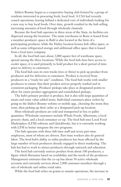Idaho's Bounty began as a cooperative buying club formed by a group of residents interested in procuring fresh, local food. A CSA had recently ceased operations, leaving behind a dedicated core of individuals looking for a new way to buy local foods. Over time, growth resulted in the hub selling increasing amounts of food through wholesale channels.

 Because the food hub operates in three areas of the State, its facilities are dispersed among the locations. The main warehouse in Boise is leased from a member-producer; space in Buhl is also located at the farm of a participating producer, while the Hailey location houses hub office space, as well as some refrigerated storage and additional office space that is leased from a local juice company.

 In all, the food hub uses about 2,000 square feet of warehouse space, spread among the three locations. While the food hub does have access to cooler space, it is used primarily to hold product for a short period of time prior to delivery to customers.

 The food hub uses its own trucks (two or three) to pick up product from producers and for deliveries to customers. Product is received from producers in a "ready for sale" condition. The food hub works with smaller producers to ensure that their product arrives properly washed and in consistent packaging. Producer pickups take place at designated points to allow for easier product aggregation and consolidated pickups.

 The hub's primary product is produce, but it also sells large quantities of meats and some value-added items. Individual customers place orders by going to the Idaho's Bounty website or mobile app., choosing the items they want, then picking up their order at a designated pick-up location.

 Most wholesale products are sold and transported in box or pallet quantities. Wholesale customers include Whole Foods, Albertsons, a local grocery chain, and a local consumer co-op. The food hub uses Local Food Marketplace (LFM) software and Quickbooks, but it is currently working with LFM to better integrate the two programs.

 The hub operates with three full-time staff and seven part-time employees, most of whom are drivers. Part-time workers also do general labor. The food hub's ability to enlist producers has been affected by the large number of local producers already engaged in direct marketing. The hub has had to work to attract producers through outreach and education.

 The food hub currently sources product from about 100 producers, a figure which fluctuates based on availability and the needs of the producers. Management estimates that the co-op has about 50 active wholesale accounts and currently services about 2,000 customer-members through a mix of wholesale and online retail sales.

While the food hub relies on grants to sustain operations, the increase in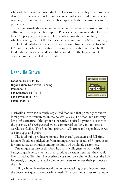wholesale business has moved the hub closer to sustainability. Staff estimates that the break-even goal is \$1.5 million in annual sales. In addition to sales revenue, the food hub charges membership fees, both for consumers and producers.

 Consumers–whether restaurants, retailers, or individual customers–pay a \$10-per-year co-op membership fee. Producers pay a membership fee of at least \$50 per year, or 5 percent of their sales through the food hub, whichever is higher. But the fee is capped at a maximum of \$5,500 annually.

 The food hub does not currently face pressure from customers to achieve GAP or other safety certifications. The only certification obtained by the food hub is an organic handler certification, due to the large amount of organic produce handled by the hub.

#### Nashville Grown

**Location:** Nashville, TN **Organization:** Non-Profit (Pending) **Personnel:** 4 **Est. Sales:** \$60,000 (2013) **Est. # Producers:** 12-54 **Established:** 2012



Nashville Grown is a recently organized food hub that primarily connects local growers to restaurants in the Nashville area. The food hub uses very little infrastructure, although it has recently acquired a grant to assist with the purchase of a refrigerated truck, commercial coolers, and to lease a warehouse facility. The food hub primarily sells fruits and vegetables, as well as some eggs and grains.

 The food hub's producers include "backyard" gardeners and full-time farmers. Product is picked up from among a rotating group of 54 producers for immediate distribution among the hub's 64 wholesale customers.

 One unique feature of this food hub is its willingness to work with backyard gardeners, who may over-produce a certain item that they would like to market. To minimize overhead costs for low volume pick-ups, the hub frequently arranges for small-volume producers to deliver their product to the hub.

 Filling wholesale orders usually requires repacking of produce to meet the customer's quantity and variety needs. The food hub strives to maintain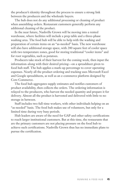the producer's identity throughout the process to ensure a strong link between the producers and the wholesale buyers.

 The hub does not do any additional processing or cleaning of product when assembling orders. Restaurant customers generally perform any additional cleaning of the product.

 In the near future, Nashville Grown will be moving into a rented warehouse, where facilities will include a prep table and a three-phase washing area. The food hub will be able to help with the washing and preparation of certain items on an "as-needed" basis. The new warehouse will also have additional storage space, with 280 square feet of cooler space with two temperature zones, good for storing traditional "cooler items" and for root vegetables, such as potatoes.

 Producers take stock of their harvest for the coming week, then input the information–along with their desired pricing—on a spreadsheet given to food hub staff. The hub applies a mark-up percentage to cover operating expenses. Nearly all the product ordering and tracking uses Microsoft Excel and Google spreadsheets, as well as an e-commerce platform designed by Core Commerce.

 The food hub aggregates supply estimates and notifies customers of product availability, then collects the orders. The ordering information is relayed to the producers, who harvest the needed quantity and prepare it for delivery. Almost all the product is harvested and delivered with little to no storage in between.

 Staff includes two full-time workers, with other individuals helping on an "as-needed" basis. The food hub makes use of volunteers, but only for a limited time during very busy periods.

 Hub leaders are aware of the need for GAP and other safety certifications to reach larger institutional customers. But at this time, the restaurants that are the primary customers are not placing pressure on the food hub to achieve such certifications. Nashville Grown thus has no immediate plans to pursue the certification.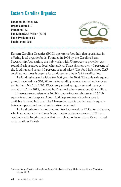### Eastern Carolina Organics

**Location:** Durham, NC **Organization:** LLC **Personnel:** 13 **Est. Sales:** \$3.8 Million (2013) **Est. # Producers:** 50 **Established:** 2004



Eastern Carolina Organics (ECO) operates a food hub that specializes in offering local organic foods. Founded in 2004 by the Carolina Farm Stewardship Association, the hub works with 50 growers to provide yearround, fresh produce to local wholesalers. These farmers own 40 percent of the food hub and retain 80 percent of total sales.8 The food hub is not GAP certified, nor does it require its producers to obtain GAP certification.

 The food hub started with a \$48,000 grant in 2004. The only subsequent grant it received was \$50,000 to make building renovations when it moved to Durham, N.C. In 2005, ECO reorganized as a grower- and managerowned LLC. By 2013, the food hub's annual sales were about \$3.8 million.

 Infrastructure consists of a 26,000-square-foot warehouse and 12,000 square feet of office space. About 5,000 square feet of cooler space is available for food hub use. The 13-member staff is divided nearly equally between operational and administrative personnel.

 The food hub uses two refrigerated trucks, owned by ECO, for deliveries, which are conducted within a 3-hour radius of the warehouse. ECO also contracts with freight carriers that can deliver as far north as Montreal and as far south as Florida.

<sup>8</sup> Matson, James, Martha Sullins, Chris Cook. The Role of Food Hubs in Local Food Marketing. USDA. 2012.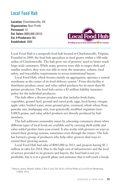## Local Food Hub

**Location:** Charlottesville, VA **Organization:** Non-Profit **Personnel:** 12 **Est. Sales:** \$985,000 (2013) **Est. # Producers:** 80+ **Established:** 2009



Local Food Hub is a nonprofit food hub located in Charlottesville, Virginia. Founded in 2009, the food hub specializes in food grown within a 100-mile radius of Charlottesville. The hub grew out of growers' need to better reach large-scale customers. While many growers were able to target chefs and smaller retailers, they were not able to meet the insurance, volume, food safety, and traceability requirements to access institutional buyers.

 Local Food Hub, which focuses mainly on aggregation, operates a central warehouse as the center of its food-delivery system.<sup>9</sup> From this facility it distributes produce, meat, and value-added products for its more than 80 partner producers. The food hub carries a \$3 million liability insurance policy for the individual producers.

 The hub offers a diverse product mix that includes fresh fruits, vegetables, ground beef, ground and cured pork, eggs, local honey, vinegar, apple cider, bottled water, stone-ground grits, cornmeal, whole wheat flour, pancake mix, hushpuppy mix, non-genetically modified organism (non-GMO) grains, and value added products not directly produced by hub members.

 The hub addresses seasonality issues by educating consumers about when different types of local foods are available and by carrying shelf-stable and value-added product lines year-round. It also works with growers on ways to extend their growing seasons, sometimes even through the winter. The hub has formed a group of producers who help other growers find ways to extend their growing season.

 Local Food Hub had sales of \$985,000 in 2013, and projects having \$1.2 million in sales for 2014. Due to the high cost of infrastructure and the level of service provided to its growers and buyers, the food hub is not yet profitable, but it is in a growth phase and estimates that it will reach a break-

<sup>9</sup> Matson, James, Martha Sullins, Chris Cook. The Role of Food Hubs in Local Food Marketing. USDA. 2012.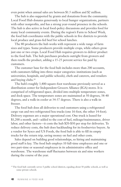even point when annual sales are between \$1.5 million and \$2 million.

 The hub is also supported by grants and donations from the community. Local Food Hub donates generously to local hunger organizations, partners with other nonprofits, and has a strong year-round presence in the schools. The hub is also active in local food-policy discussions and provides food for many local community events. During the region's Farm to School Week, the food hub coordinates with the public schools in five districts to provide local produce and grass-fed beef for school lunches.

 The 80 producers the hub works with represent a wide range of farm sizes and types. Some producers provide multiple crops, while others grow just one or two crops. Local Food Hub requires growers to deliver product to the food hub. The hub purchases products outright from growers and then resells the product, adding a 15-25 percent service fee paid by customers.

 The customer base for the food hub includes more than 200 accounts, with customers falling into three major categories: institutions (such as universities, hospitals, and public schools), chefs and caterers, and retailers and buying clubs.10

 The hub's roughly 3,400-square-foot warehouse previously served as a distribution center for Independent Grocers Alliance (IGA) stores. It is comprised of refrigerated space, divided into multiple temperature zones, and dock space. The temperature zones are maintained at 50 degrees, 38-40 degrees, and a walk-in cooler at 34-37 degrees. There is also a walk-in freezer.

 The food hub does all deliveries to end customers using a refrigerated cargo van and two refrigerated box trucks (one 16-foot, the other 14-foot). Delivery expenses are a major operational cost. One truck is leased for \$1,200 a month, and—added to the cost of fuel, mileage/maintenance, driver labor, and other factors—it costs the hub \$20-\$30 per stop for deliveries. To reduce delivery costs, the hub does backhauling for its foodservice buyers. As a vendor for Sysco and US Foods, the food hub is able to fill its empty trucks for the return trip, saving money on fuel and other costs.

 Sales depend on building good relationships, so hiring and maintaining good staff is key. The food hub employs 10 full-time employees and one or two part-time or seasonal employees in its administrative office and warehouse. The warehouse staff fluctuates between six and nine workers during the course of the year.

<sup>&</sup>lt;sup>10</sup> The food hub currently serves 5 public school districts, equaling about 50 public schools, as well as some private schools.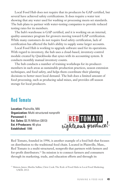Local Food Hub does not require that its producers be GAP certified, but several have achieved safety certifications. It does require a water test showing that any water used for washing or processing meets set standards. The hub plans to partner with water-testing companies to provide reduced testing rates for its members.

 The hub's warehouse is GAP certified, and it is working on an internal, quality-assurance program for growers moving toward GAP certification. While many customers do not require food safety certification, lack of certification has affected the hub's ability to supply some larger accounts.

 Local Food Hub is working to upgrade software used for its operations. With regard to inventory, the hub uses a cloud-based, inventory-control module created by Quickbooks that syncs with its accounting system. It conducts monthly manual inventory counts.

 The hub conducts a number of training workshops for its producermembers in such areas as sustainable production practices, season extension techniques, and food safety, and helps them coordinate their planting decisions to better meet local demand. The hub does a limited amount of food processing, such as producing salad mixes, and provides off-season storage for local producers.

#### Red Tomato

**Location:** Plainville, MA **Organization:** Multi-structured nonprofit **Personnel:** 6 **Est. Sales:** \$3.75 Million (2013) **Est. # Producers:** 40-plus **Established:** 1996



Red Tomato, founded in 1996, is another example of a food hub that focuses on distribution to the traditional food chain. Located in Plainville, Mass., Red Tomato is a multi-structured, nonprofit that partners with farmers and for-profit distributors.11 Its mission is to connect farmers and consumers through its marketing, trade, and education efforts and through its

<sup>11</sup> Matson, James, Martha Sullins, Chris Cook. The Role of Food Hubs in Local Food Marketing. USDA. 2012.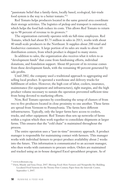"passionate belief that a family-farm, locally based, ecological, fair-trade food system is the way to a better tomato."12

 Red Tomato helps producers located in the same general area coordinate their storage activities. The logistics of pickup and transport is outsourced, which helps the food hub reduce its costs. This allows Red Tomato to return up to 90 percent of revenue to its growers.<sup>13</sup>

 The organization currently operates with six full-time employees. Red Tomato, which had about \$3.75 million in sales in 2013, works with about 40 small-scale producers in the Northeast. It supplies about 200 retail and foodservice customers. A large portion of its sales are made to about 10 distribution centers, from which product is shipped to many stores.

 In addition to sales, the organization also receives what it refers to as "development funds" that come from fundraising efforts, individual donations, and foundation support. About 60 percent of its revenue comes from these development funds, with the remaining 40 percent generated by sale profits.

 Until 2002, the company used a traditional approach to aggregating and selling local product. It operated a warehouse and delivery trucks for fulfillment of orders. However, the high cost of labor, coolers, insurance, maintenance (for equipment and infrastructure), tight margins, and the high product volume necessary to sustain the operation prevented sufficient time from being devoted to marketing efforts.

 Now, Red Tomato operates by coordinating the setup of clusters of from two to five producers located in close proximity to one another. These farms are spread from Vermont to Pennsylvania. The farms have different infrastructures. Typically, only the larger farms have access to coolers, trucks, and other equipment. Red Tomato thus sets up networks of farms within a region which then work together to consolidate shipments at larger farms. This ensures that the "cold chain" is maintained throughout the process.

 The entire operation uses a "just-in-time" inventory approach. A product manager is responsible for maintaining contact with farmers. This manager works with individual farmers to project produce availability about 2 weeks into the future. This information is communicated to an account manager, who then works with customers to procure orders. Orders are maintained and tracked using an in-house designed Excel spreadsheet program. As of

<sup>12</sup> www.redtomato.org

<sup>&</sup>lt;sup>13</sup> Davis, Mandy and Sona Desai. 2007. Moving Food: How Farmers and Nonprofits Are Building Localized Food Systems for the Twenty-First Century. Paper from the Intervale Center, September 1, 2007.